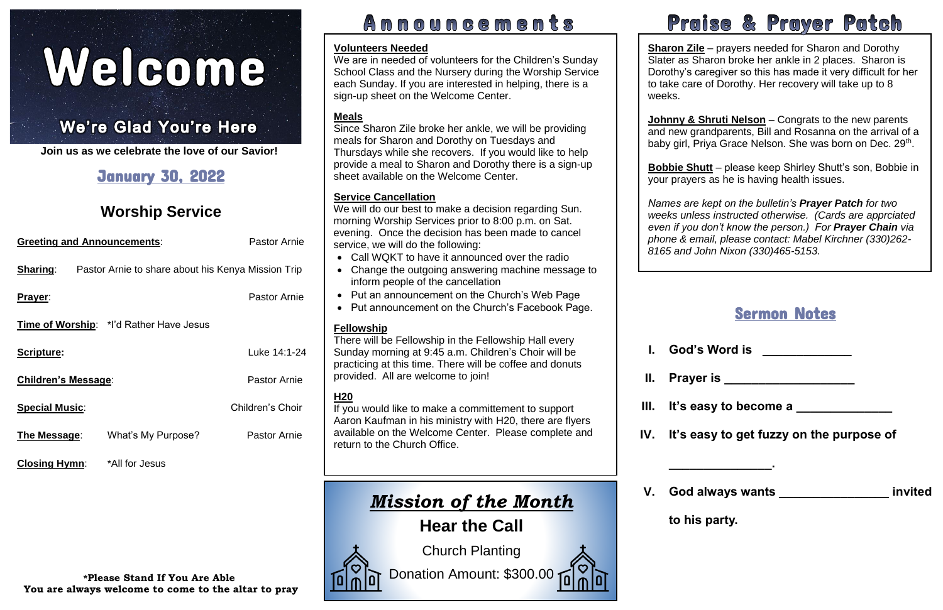# Welcome

#### İ, l  $\cdot$

**Join us as we celebrate the love of our Savior!**

| <b>Greeting and Announcements:</b> | <b>Pastor Arnie</b>                                |                     |
|------------------------------------|----------------------------------------------------|---------------------|
| <b>Sharing:</b>                    | Pastor Arnie to share about his Kenya Mission Trip |                     |
| <b>Prayer:</b>                     |                                                    | <b>Pastor Arnie</b> |
|                                    | Time of Worship: *I'd Rather Have Jesus            |                     |
| <b>Scripture:</b>                  |                                                    | Luke 14:1-24        |
| Children's Message:                | <b>Pastor Arnie</b>                                |                     |
| <b>Special Music:</b>              |                                                    | Children's Choir    |
| The Message:                       | What's My Purpose?                                 | <b>Pastor Arnie</b> |
|                                    |                                                    |                     |

# January 30, 2022

# **Worship Service**

**Closing Hymn**: \*All for Jesus

# Announcements

# Praise & Prayer Patch

| 's Word is |  |
|------------|--|
|            |  |

# Sermon Notes

baby girl, Priya Grace Nelson. She was born on Dec. 29<sup>th</sup>. **Johnny & Shruti Nelson** – Congrats to the new parents and new grandparents, Bill and Rosanna on the arrival of a

**II. Prayer is \_\_\_\_\_\_\_\_\_\_\_\_\_\_\_\_\_\_\_** 

**It's easy to become a** 

**\_\_\_\_\_\_\_\_\_\_\_\_\_\_\_.**

**V. God always wants \_\_\_\_\_\_\_\_\_\_\_\_\_\_\_\_ invited** 

**to his party.**

 your prayers as he is having health issues. **Bobbie Shutt** – please keep Shirley Shutt's son, Bobbie in

**Sharon Zile** – prayers needed for Sharon and Dorothy Slater as Sharon broke her ankle in 2 places. Sharon is Dorothy's caregiver so this has made it very difficult for her to take care of Dorothy. Her recovery will take up to 8 weeks.

 *weeks unless instructed otherwise. (Cards are apprciated Names are kept on the bulletin's Prayer Patch for two even if you don't know the person.) For Prayer Chain via phone & email, please contact: Mabel Kirchner (330)262- 8165 and John Nixon (330)465-5153.*

- **I.** God<sup>'</sup>
- 
- 
- **IV.** It's e
- 

Church Planting Donation Amount: \$300.00



## **Volunteers Needed**

We are in needed of volunteers for the Children's Sunday School Class and the Nursery during the Worship Service each Sunday. If you are interested in helping, there is a sign-up sheet on the Welcome Center.

 available on the Welcome Center. Please complete and If you would like to make a committement to support Aaron Kaufman in his ministry with H20, there are flyers return to the Church Office.

## **Meals**

Since Sharon Zile broke her ankle, we will be providing meals for Sharon and Dorothy on Tuesdays and Thursdays while she recovers. If you would like to help provide a meal to Sharon and Dorothy there is a sign-up sheet available on the Welcome Center.

# **Service Cancellation**

We will do our best to make a decision regarding Sun. morning Worship Services prior to 8:00 p.m. on Sat. evening. Once the decision has been made to cancel service, we will do the following:

- Call WQKT to have it announced over the radio
- Change the outgoing answering machine message to inform people of the cancellation
- Put an announcement on the Church's Web Page
- Put announcement on the Church's Facebook Page.

# **Fellowship**

There will be Fellowship in the Fellowship Hall every Sunday morning at 9:45 a.m. Children's Choir will be practicing at this time. There will be coffee and donuts provided. All are welcome to join!

# **H20**

# *Mission of the Month*

**Hear the Call**

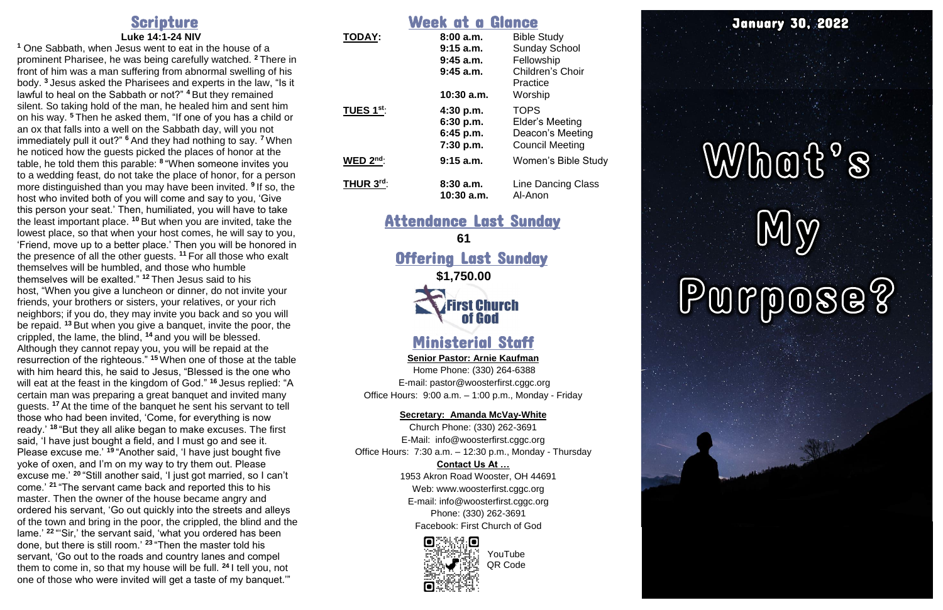# Scripture

#### **Luke 14:1 -24 NIV**

**<sup>1</sup>** One Sabbath, when Jesus went to eat in the house of a prominent Pharisee, he was being carefully watched. **<sup>2</sup>** There in front of him was a man suffering from abnormal swelling of his body. **<sup>3</sup>** Jesus asked the Pharisees and experts in the law, "Is it lawful to heal on the Sabbath or not?" **<sup>4</sup>** But they remained silent. So taking hold of the man, he healed him and sent him on his way. **<sup>5</sup>** Then he asked them, "If one of you has a child or an ox that falls into a well on the Sabbath day, will you not immediately pull it out?" **<sup>6</sup>** And they had nothing to say. **<sup>7</sup>** When he noticed how the guests picked the places of honor at the table, he told them this parable: **8** "When someone invites you to a wedding feast, do not take the place of honor, for a person more distinguished than you may have been invited. **9** If so, the host who invited both of you will come and say to you, 'Give this person your seat.' Then, humiliated, you will have to take the least important place. **<sup>10</sup>** But when you are invited, take the lowest place, so that when your host comes, he will say to you, 'Friend, move up to a better place.' Then you will be honored in the presence of all the other guests. **<sup>11</sup>** For all those who exalt themselves will be humbled, and those who humble themselves will be exalted." **<sup>12</sup>** Then Jesus said to his host, "When you give a luncheon or dinner, do not invite your friends, your brothers or sisters, your relatives, or your rich neighbors; if you do, they may invite you back and so you will be repaid. **<sup>13</sup>** But when you give a banquet, invite the poor, the crippled, the lame, the blind, **<sup>14</sup>** and you will be blessed. Although they cannot repay you, you will be repaid at the resurrection of the righteous." **<sup>15</sup>** When one of those at the table with him heard this, he said to Jesus, "Blessed is the one who will eat at the feast in the kingdom of God." **<sup>16</sup>** Jesus replied: "A certain man was preparing a great banquet and invited many guests. **<sup>17</sup>** At the time of the banquet he sent his servant to tell those who had been invited, 'Come, for everything is now ready.' **<sup>18</sup>** "But they all alike began to make excuses. The first said, 'I have just bought a field, and I must go and see it. Please excuse me.' **<sup>19</sup>** "Another said, 'I have just bought five yoke of oxen, and I'm on my way to try them out. Please excuse me.' **<sup>20</sup>** "Still another said, 'I just got married, so I can't come.' **<sup>21</sup>** "The servant came back and reported this to his master. Then the owner of the house became angry and ordered his servant, 'Go out quickly into the streets and alleys of the town and bring in the poor, the crippled, the blind and the lame.' **<sup>22</sup>** "'Sir,' the servant said, 'what you ordered has been done, but there is still room.' **<sup>23</sup>** "Then the master told his servant, 'Go out to the roads and country lanes and compel them to come in, so that my house will be full. **<sup>24</sup>** I tell you, not one of those who were invited will get a taste of my banquet.'"

Offering Last Sunday **\$1,750.00 irst Church** of God

**Senior Pastor: Arnie Kaufman** Home Phone: (330) 264 -6388 E -mail: [pastor@woosterfirst.cggc.org](mailto:pastor@woosterfirst.cggc.org) Office Hours: 9:00 a.m. - 1:00 p.m., Monday - Friday

#### Week at a Glance **TODAY : 8:00 a.m.** Bible Study **9:15 a.m.** Sunday School **9:45 a.m.** Fellowship

|                           | $9:45$ a.m.<br>$9:45$ a.m.<br>10:30 a.m.         | 5.15577201120<br>Fellowship<br>Children's Choir<br>Practice<br>Worship       |
|---------------------------|--------------------------------------------------|------------------------------------------------------------------------------|
| TUES 1 $^{\mathsf{st}}$ : | 4:30 p.m.<br>6:30 p.m.<br>6:45 p.m.<br>7:30 p.m. | <b>TOPS</b><br>Elder's Meeting<br>Deacon's Meeting<br><b>Council Meeting</b> |
| WED $2^{\text{nd}}$ :     | 9:15 a.m.                                        | Women's Bible Study                                                          |
| THUR $3^{\text{rd}}$ :    | 8:30a.m.<br>$10:30$ a.m.                         | <b>Line Dancing Class</b><br>Al-Anon                                         |

# Attendance Last Sunday **61**

# Ministerial Staff

### **Secretary: Amanda McVay -White**

Church Phone: (330) 262 -3691 E -Mail: info@woosterfirst.cggc.org Office Hours: 7:30 a.m. – 12:30 p.m., Monday - Thursday

### **Contact Us At …**

1953 Akron Road Wooster, OH 44691 Web: [www.woosterfirst.cggc.org](http://www.woosterfirst.cggc.org/) E-mail: info@woosterfirst.cggc.org Phone: (330) 262 -3691 Facebook: First Church of God



# January 30, 2022

# What's My

YouTube QR Code